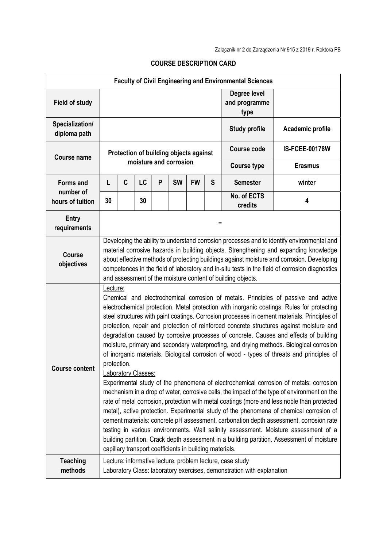| <b>Faculty of Civil Engineering and Environmental Sciences</b> |                                                                                                                                                                                                                                                                                                                                                                                                                                                                                                                                                                                                                                                                                                                                                                                                                                                                                                                                                                                                                                                                                                                                                                                                                                                                                                                                                                                                                                             |   |    |   |           |           |                                       |                        |                       |
|----------------------------------------------------------------|---------------------------------------------------------------------------------------------------------------------------------------------------------------------------------------------------------------------------------------------------------------------------------------------------------------------------------------------------------------------------------------------------------------------------------------------------------------------------------------------------------------------------------------------------------------------------------------------------------------------------------------------------------------------------------------------------------------------------------------------------------------------------------------------------------------------------------------------------------------------------------------------------------------------------------------------------------------------------------------------------------------------------------------------------------------------------------------------------------------------------------------------------------------------------------------------------------------------------------------------------------------------------------------------------------------------------------------------------------------------------------------------------------------------------------------------|---|----|---|-----------|-----------|---------------------------------------|------------------------|-----------------------|
| <b>Field of study</b>                                          |                                                                                                                                                                                                                                                                                                                                                                                                                                                                                                                                                                                                                                                                                                                                                                                                                                                                                                                                                                                                                                                                                                                                                                                                                                                                                                                                                                                                                                             |   |    |   |           |           | Degree level<br>and programme<br>type |                        |                       |
| Specialization/<br>diploma path                                |                                                                                                                                                                                                                                                                                                                                                                                                                                                                                                                                                                                                                                                                                                                                                                                                                                                                                                                                                                                                                                                                                                                                                                                                                                                                                                                                                                                                                                             |   |    |   |           |           |                                       | <b>Study profile</b>   | Academic profile      |
| <b>Course name</b>                                             | Protection of building objects against<br>moisture and corrosion                                                                                                                                                                                                                                                                                                                                                                                                                                                                                                                                                                                                                                                                                                                                                                                                                                                                                                                                                                                                                                                                                                                                                                                                                                                                                                                                                                            |   |    |   |           |           |                                       | <b>Course code</b>     | <b>IS-FCEE-00178W</b> |
|                                                                |                                                                                                                                                                                                                                                                                                                                                                                                                                                                                                                                                                                                                                                                                                                                                                                                                                                                                                                                                                                                                                                                                                                                                                                                                                                                                                                                                                                                                                             |   |    |   |           |           |                                       | <b>Course type</b>     | <b>Erasmus</b>        |
| <b>Forms and</b><br>number of<br>hours of tuition              | L                                                                                                                                                                                                                                                                                                                                                                                                                                                                                                                                                                                                                                                                                                                                                                                                                                                                                                                                                                                                                                                                                                                                                                                                                                                                                                                                                                                                                                           | C | LC | P | <b>SW</b> | <b>FW</b> | S                                     | <b>Semester</b>        | winter                |
|                                                                | 30                                                                                                                                                                                                                                                                                                                                                                                                                                                                                                                                                                                                                                                                                                                                                                                                                                                                                                                                                                                                                                                                                                                                                                                                                                                                                                                                                                                                                                          |   | 30 |   |           |           |                                       | No. of ECTS<br>credits | 4                     |
| Entry<br>requirements                                          |                                                                                                                                                                                                                                                                                                                                                                                                                                                                                                                                                                                                                                                                                                                                                                                                                                                                                                                                                                                                                                                                                                                                                                                                                                                                                                                                                                                                                                             |   |    |   |           |           |                                       |                        |                       |
| <b>Course</b><br>objectives                                    | Developing the ability to understand corrosion processes and to identify environmental and<br>material corrosive hazards in building objects. Strengthening and expanding knowledge<br>about effective methods of protecting buildings against moisture and corrosion. Developing<br>competences in the field of laboratory and in-situ tests in the field of corrosion diagnostics<br>and assessment of the moisture content of building objects.                                                                                                                                                                                                                                                                                                                                                                                                                                                                                                                                                                                                                                                                                                                                                                                                                                                                                                                                                                                          |   |    |   |           |           |                                       |                        |                       |
| <b>Course content</b>                                          | Lecture:<br>Chemical and electrochemical corrosion of metals. Principles of passive and active<br>electrochemical protection. Metal protection with inorganic coatings. Rules for protecting<br>steel structures with paint coatings. Corrosion processes in cement materials. Principles of<br>protection, repair and protection of reinforced concrete structures against moisture and<br>degradation caused by corrosive processes of concrete. Causes and effects of building<br>moisture, primary and secondary waterproofing, and drying methods. Biological corrosion<br>of inorganic materials. Biological corrosion of wood - types of threats and principles of<br>protection.<br>Laboratory Classes:<br>Experimental study of the phenomena of electrochemical corrosion of metals: corrosion<br>mechanism in a drop of water, corrosive cells, the impact of the type of environment on the<br>rate of metal corrosion, protection with metal coatings (more and less noble than protected<br>metal), active protection. Experimental study of the phenomena of chemical corrosion of<br>cement materials: concrete pH assessment, carbonation depth assessment, corrosion rate<br>testing in various environments. Wall salinity assessment. Moisture assessment of a<br>building partition. Crack depth assessment in a building partition. Assessment of moisture<br>capillary transport coefficients in building materials. |   |    |   |           |           |                                       |                        |                       |
| <b>Teaching</b><br>methods                                     | Lecture: informative lecture, problem lecture, case study<br>Laboratory Class: laboratory exercises, demonstration with explanation                                                                                                                                                                                                                                                                                                                                                                                                                                                                                                                                                                                                                                                                                                                                                                                                                                                                                                                                                                                                                                                                                                                                                                                                                                                                                                         |   |    |   |           |           |                                       |                        |                       |

## COURSE DESCRIPTION CARD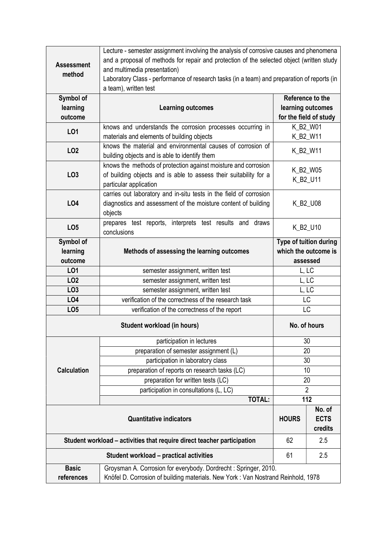|                                                                         | Lecture - semester assignment involving the analysis of corrosive causes and phenomena                |                        |                        |  |  |  |  |  |
|-------------------------------------------------------------------------|-------------------------------------------------------------------------------------------------------|------------------------|------------------------|--|--|--|--|--|
| <b>Assessment</b>                                                       | and a proposal of methods for repair and protection of the selected object (written study             |                        |                        |  |  |  |  |  |
|                                                                         | and multimedia presentation)                                                                          |                        |                        |  |  |  |  |  |
|                                                                         | method<br>Laboratory Class - performance of research tasks (in a team) and preparation of reports (in |                        |                        |  |  |  |  |  |
|                                                                         | a team), written test                                                                                 |                        |                        |  |  |  |  |  |
| Symbol of                                                               |                                                                                                       |                        | Reference to the       |  |  |  |  |  |
| learning                                                                | <b>Learning outcomes</b>                                                                              | learning outcomes      |                        |  |  |  |  |  |
| outcome                                                                 |                                                                                                       |                        | for the field of study |  |  |  |  |  |
| LO1                                                                     | knows and understands the corrosion processes occurring in                                            | K_B2_W01               |                        |  |  |  |  |  |
|                                                                         | materials and elements of building objects                                                            | K_B2_W11               |                        |  |  |  |  |  |
| LO <sub>2</sub>                                                         | knows the material and environmental causes of corrosion of                                           |                        | K_B2_W11               |  |  |  |  |  |
|                                                                         | building objects and is able to identify them                                                         |                        |                        |  |  |  |  |  |
|                                                                         | knows the methods of protection against moisture and corrosion                                        | K_B2_W05               |                        |  |  |  |  |  |
| LO <sub>3</sub>                                                         | of building objects and is able to assess their suitability for a                                     | K_B2_U11               |                        |  |  |  |  |  |
|                                                                         | particular application                                                                                |                        |                        |  |  |  |  |  |
|                                                                         | carries out laboratory and in-situ tests in the field of corrosion                                    | K_B2_U08               |                        |  |  |  |  |  |
| <b>LO4</b>                                                              | diagnostics and assessment of the moisture content of building                                        |                        |                        |  |  |  |  |  |
|                                                                         | objects                                                                                               |                        |                        |  |  |  |  |  |
| LO <sub>5</sub>                                                         | prepares test reports, interprets test results and<br>draws                                           | K_B2_U10               |                        |  |  |  |  |  |
|                                                                         | conclusions                                                                                           |                        |                        |  |  |  |  |  |
| Symbol of                                                               |                                                                                                       | Type of tuition during |                        |  |  |  |  |  |
| learning                                                                | Methods of assessing the learning outcomes                                                            | which the outcome is   |                        |  |  |  |  |  |
| outcome                                                                 |                                                                                                       | assessed               |                        |  |  |  |  |  |
| LO1                                                                     | semester assignment, written test                                                                     | L, LC                  |                        |  |  |  |  |  |
| LO <sub>2</sub>                                                         | semester assignment, written test                                                                     | L, LC                  |                        |  |  |  |  |  |
| LO <sub>3</sub>                                                         | semester assignment, written test                                                                     | L, LC                  |                        |  |  |  |  |  |
| LO4                                                                     | verification of the correctness of the research task                                                  |                        | <b>LC</b>              |  |  |  |  |  |
| LO <sub>5</sub>                                                         | verification of the correctness of the report                                                         | LC                     |                        |  |  |  |  |  |
|                                                                         | No. of hours                                                                                          |                        |                        |  |  |  |  |  |
|                                                                         | participation in lectures                                                                             | 30                     |                        |  |  |  |  |  |
|                                                                         | preparation of semester assignment (L)                                                                | 20                     |                        |  |  |  |  |  |
|                                                                         | participation in laboratory class                                                                     | 30                     |                        |  |  |  |  |  |
| <b>Calculation</b>                                                      | preparation of reports on research tasks (LC)                                                         | 10                     |                        |  |  |  |  |  |
|                                                                         | preparation for written tests (LC)                                                                    | 20                     |                        |  |  |  |  |  |
|                                                                         | participation in consultations (L, LC)                                                                | $\overline{2}$         |                        |  |  |  |  |  |
|                                                                         | <b>TOTAL:</b>                                                                                         | 112                    |                        |  |  |  |  |  |
|                                                                         |                                                                                                       |                        | No. of                 |  |  |  |  |  |
|                                                                         | <b>HOURS</b>                                                                                          | <b>ECTS</b>            |                        |  |  |  |  |  |
|                                                                         |                                                                                                       | credits                |                        |  |  |  |  |  |
| Student workload – activities that require direct teacher participation | 62                                                                                                    | 2.5                    |                        |  |  |  |  |  |
|                                                                         | 61                                                                                                    | 2.5                    |                        |  |  |  |  |  |
| <b>Basic</b>                                                            | Groysman A. Corrosion for everybody. Dordrecht: Springer, 2010.                                       |                        |                        |  |  |  |  |  |
| references                                                              | Knöfel D. Corrosion of building materials. New York: Van Nostrand Reinhold, 1978                      |                        |                        |  |  |  |  |  |